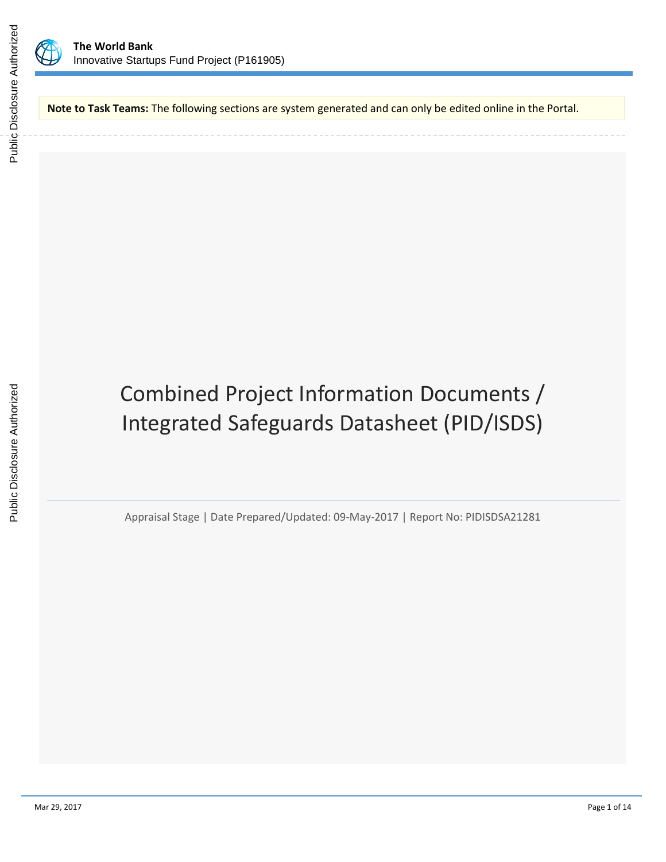

**Note to Task Teams:** The following sections are system generated and can only be edited online in the Portal.

Combined Project Information Documents / Integrated Safeguards Datasheet (PID/ISDS)

Appraisal Stage | Date Prepared/Updated: 09-May-2017 | Report No: PIDISDSA21281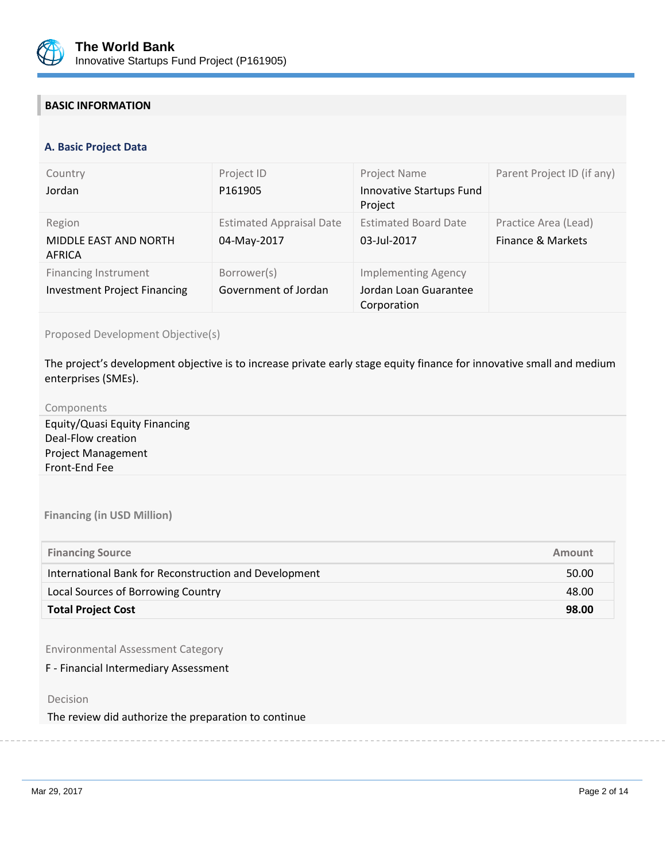

# **BASIC INFORMATION**

#### **OPS\_TABLE\_BASIC\_DATA A. Basic Project Data**

| Country<br>Jordan                                                  | Project ID<br>P161905                          | Project Name<br>Innovative Startups Fund<br>Project                | Parent Project ID (if any)                |
|--------------------------------------------------------------------|------------------------------------------------|--------------------------------------------------------------------|-------------------------------------------|
| Region<br>MIDDLE EAST AND NORTH<br>AFRICA                          | <b>Estimated Appraisal Date</b><br>04-May-2017 | <b>Estimated Board Date</b><br>03-Jul-2017                         | Practice Area (Lead)<br>Finance & Markets |
| <b>Financing Instrument</b><br><b>Investment Project Financing</b> | Borrower(s)<br>Government of Jordan            | <b>Implementing Agency</b><br>Jordan Loan Guarantee<br>Corporation |                                           |

## Proposed Development Objective(s)

The project's development objective is to increase private early stage equity finance for innovative small and medium enterprises (SMEs).

#### Components

Equity/Quasi Equity Financing Deal-Flow creation Project Management Front-End Fee

**Financing (in USD Million)**

| <b>Financing Source</b>                               | Amount |
|-------------------------------------------------------|--------|
| International Bank for Reconstruction and Development | 50.00  |
| Local Sources of Borrowing Country                    | 48.00  |
| <b>Total Project Cost</b>                             | 98.00  |

Environmental Assessment Category

F - Financial Intermediary Assessment

Decision

The review did authorize the preparation to continue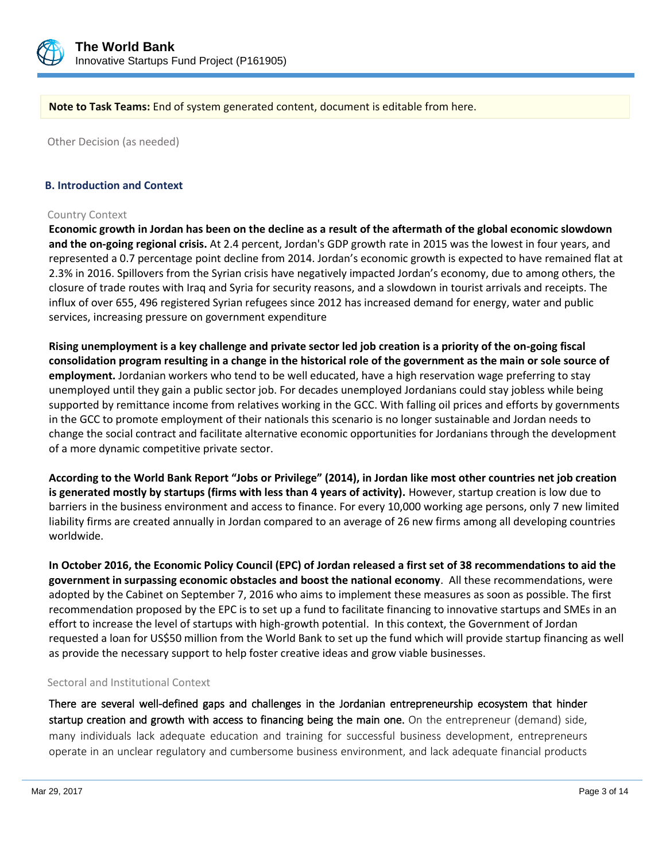

**Note to Task Teams:** End of system generated content, document is editable from here.

Other Decision (as needed)

#### **B. Introduction and Context**

#### Country Context

**Economic growth in Jordan has been on the decline as a result of the aftermath of the global economic slowdown and the on-going regional crisis.** At 2.4 percent, Jordan's GDP growth rate in 2015 was the lowest in four years, and represented a 0.7 percentage point decline from 2014. Jordan's economic growth is expected to have remained flat at 2.3% in 2016. Spillovers from the Syrian crisis have negatively impacted Jordan's economy, due to among others, the closure of trade routes with Iraq and Syria for security reasons, and a slowdown in tourist arrivals and receipts. The influx of over 655, 496 registered Syrian refugees since 2012 has increased demand for energy, water and public services, increasing pressure on government expenditure

**Rising unemployment is a key challenge and private sector led job creation is a priority of the on-going fiscal consolidation program resulting in a change in the historical role of the government as the main or sole source of employment.** Jordanian workers who tend to be well educated, have a high reservation wage preferring to stay unemployed until they gain a public sector job. For decades unemployed Jordanians could stay jobless while being supported by remittance income from relatives working in the GCC. With falling oil prices and efforts by governments in the GCC to promote employment of their nationals this scenario is no longer sustainable and Jordan needs to change the social contract and facilitate alternative economic opportunities for Jordanians through the development of a more dynamic competitive private sector.

**According to the World Bank Report "Jobs or Privilege" (2014), in Jordan like most other countries net job creation is generated mostly by startups (firms with less than 4 years of activity).** However, startup creation is low due to barriers in the business environment and access to finance. For every 10,000 working age persons, only 7 new limited liability firms are created annually in Jordan compared to an average of 26 new firms among all developing countries worldwide.

**In October 2016, the Economic Policy Council (EPC) of Jordan released a first set of 38 recommendations to aid the government in surpassing economic obstacles and boost the national economy**. All these recommendations, were adopted by the Cabinet on September 7, 2016 who aims to implement these measures as soon as possible. The first recommendation proposed by the EPC is to set up a fund to facilitate financing to innovative startups and SMEs in an effort to increase the level of startups with high-growth potential. In this context, the Government of Jordan requested a loan for US\$50 million from the World Bank to set up the fund which will provide startup financing as well as provide the necessary support to help foster creative ideas and grow viable businesses.

#### Sectoral and Institutional Context

There are several well-defined gaps and challenges in the Jordanian entrepreneurship ecosystem that hinder startup creation and growth with access to financing being the main one. On the entrepreneur (demand) side, many individuals lack adequate education and training for successful business development, entrepreneurs operate in an unclear regulatory and cumbersome business environment, and lack adequate financial products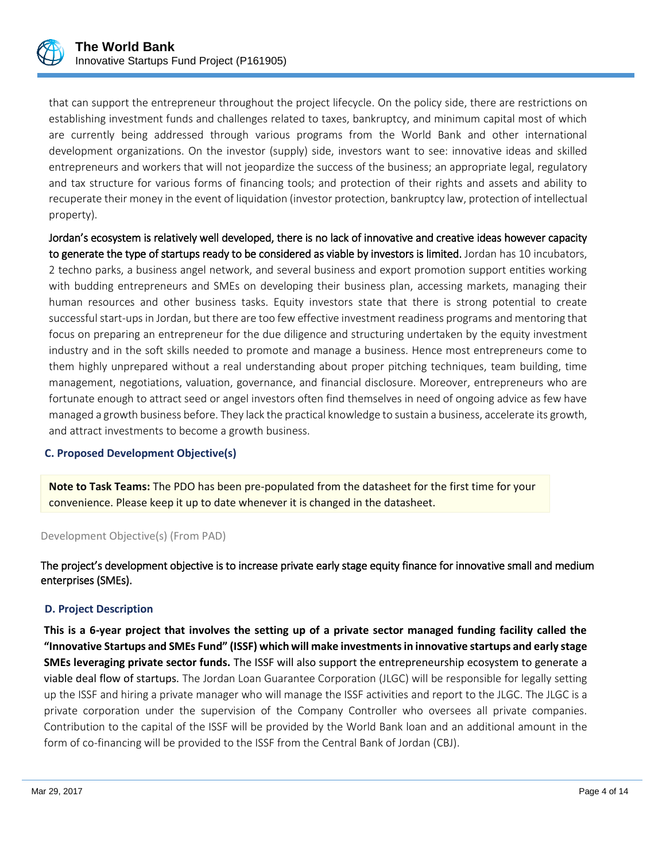

that can support the entrepreneur throughout the project lifecycle. On the policy side, there are restrictions on establishing investment funds and challenges related to taxes, bankruptcy, and minimum capital most of which are currently being addressed through various programs from the World Bank and other international development organizations. On the investor (supply) side, investors want to see: innovative ideas and skilled entrepreneurs and workers that will not jeopardize the success of the business; an appropriate legal, regulatory and tax structure for various forms of financing tools; and protection of their rights and assets and ability to recuperate their money in the event of liquidation (investor protection, bankruptcy law, protection of intellectual property).

Jordan's ecosystem is relatively well developed, there is no lack of innovative and creative ideas however capacity to generate the type of startups ready to be considered as viable by investors is limited. Jordan has 10 incubators, 2 techno parks, a business angel network, and several business and export promotion support entities working with budding entrepreneurs and SMEs on developing their business plan, accessing markets, managing their human resources and other business tasks. Equity investors state that there is strong potential to create successful start-ups in Jordan, but there are too few effective investment readiness programs and mentoring that focus on preparing an entrepreneur for the due diligence and structuring undertaken by the equity investment industry and in the soft skills needed to promote and manage a business. Hence most entrepreneurs come to them highly unprepared without a real understanding about proper pitching techniques, team building, time management, negotiations, valuation, governance, and financial disclosure. Moreover, entrepreneurs who are fortunate enough to attract seed or angel investors often find themselves in need of ongoing advice as few have managed a growth business before. They lack the practical knowledge to sustain a business, accelerate its growth, and attract investments to become a growth business.

## **C. Proposed Development Objective(s)**

**Note to Task Teams:** The PDO has been pre-populated from the datasheet for the first time for your convenience. Please keep it up to date whenever it is changed in the datasheet.

#### Development Objective(s) (From PAD)

The project's development objective is to increase private early stage equity finance for innovative small and medium enterprises (SMEs).

#### **D. Project Description**

**This is a 6-year project that involves the setting up of a private sector managed funding facility called the "Innovative Startups and SMEs Fund" (ISSF) which will make investments in innovative startups and early stage SMEs leveraging private sector funds.** The ISSF will also support the entrepreneurship ecosystem to generate a viable deal flow of startups. The Jordan Loan Guarantee Corporation (JLGC) will be responsible for legally setting up the ISSF and hiring a private manager who will manage the ISSF activities and report to the JLGC. The JLGC is a private corporation under the supervision of the Company Controller who oversees all private companies. Contribution to the capital of the ISSF will be provided by the World Bank loan and an additional amount in the form of co-financing will be provided to the ISSF from the Central Bank of Jordan (CBJ).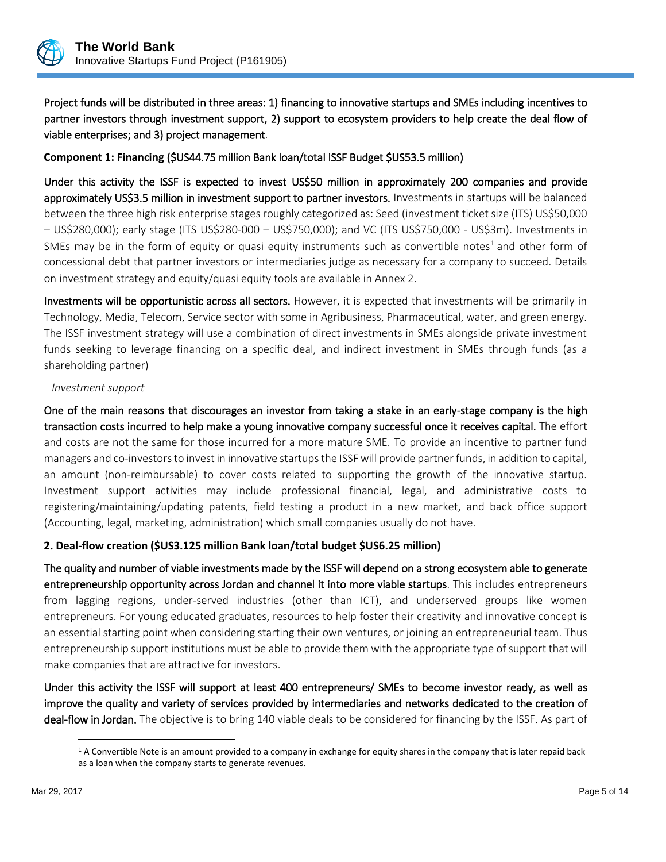

Project funds will be distributed in three areas: 1) financing to innovative startups and SMEs including incentives to partner investors through investment support, 2) support to ecosystem providers to help create the deal flow of viable enterprises; and 3) project management.

**Component 1: Financing** (\$US44.75 million Bank loan/total ISSF Budget \$US53.5 million)

Under this activity the ISSF is expected to invest US\$50 million in approximately 200 companies and provide approximately US\$3.5 million in investment support to partner investors. Investments in startups will be balanced between the three high risk enterprise stages roughly categorized as: Seed (investment ticket size (ITS) US\$50,000 – US\$280,000); early stage (ITS US\$280-000 – US\$750,000); and VC (ITS US\$750,000 - US\$3m). Investments in SMEs may be in the form of equity or quasi equity instruments such as convertible notes<sup>1</sup> and other form of concessional debt that partner investors or intermediaries judge as necessary for a company to succeed. Details on investment strategy and equity/quasi equity tools are available in Annex 2.

Investments will be opportunistic across all sectors. However, it is expected that investments will be primarily in Technology, Media, Telecom, Service sector with some in Agribusiness, Pharmaceutical, water, and green energy. The ISSF investment strategy will use a combination of direct investments in SMEs alongside private investment funds seeking to leverage financing on a specific deal, and indirect investment in SMEs through funds (as a shareholding partner)

### *Investment support*

One of the main reasons that discourages an investor from taking a stake in an early-stage company is the high transaction costs incurred to help make a young innovative company successful once it receives capital. The effort and costs are not the same for those incurred for a more mature SME. To provide an incentive to partner fund managers and co-investors to invest in innovative startups the ISSF will provide partner funds, in addition to capital, an amount (non-reimbursable) to cover costs related to supporting the growth of the innovative startup. Investment support activities may include professional financial, legal, and administrative costs to registering/maintaining/updating patents, field testing a product in a new market, and back office support (Accounting, legal, marketing, administration) which small companies usually do not have.

## **2. Deal-flow creation (\$US3.125 million Bank loan/total budget \$US6.25 million)**

The quality and number of viable investments made by the ISSF will depend on a strong ecosystem able to generate entrepreneurship opportunity across Jordan and channel it into more viable startups. This includes entrepreneurs from lagging regions, under-served industries (other than ICT), and underserved groups like women entrepreneurs. For young educated graduates, resources to help foster their creativity and innovative concept is an essential starting point when considering starting their own ventures, or joining an entrepreneurial team. Thus entrepreneurship support institutions must be able to provide them with the appropriate type of support that will make companies that are attractive for investors.

Under this activity the ISSF will support at least 400 entrepreneurs/ SMEs to become investor ready, as well as improve the quality and variety of services provided by intermediaries and networks dedicated to the creation of deal-flow in Jordan. The objective is to bring 140 viable deals to be considered for financing by the ISSF. As part of

 $\overline{a}$ 

 $1$  A Convertible Note is an amount provided to a company in exchange for equity shares in the company that is later repaid back as a loan when the company starts to generate revenues.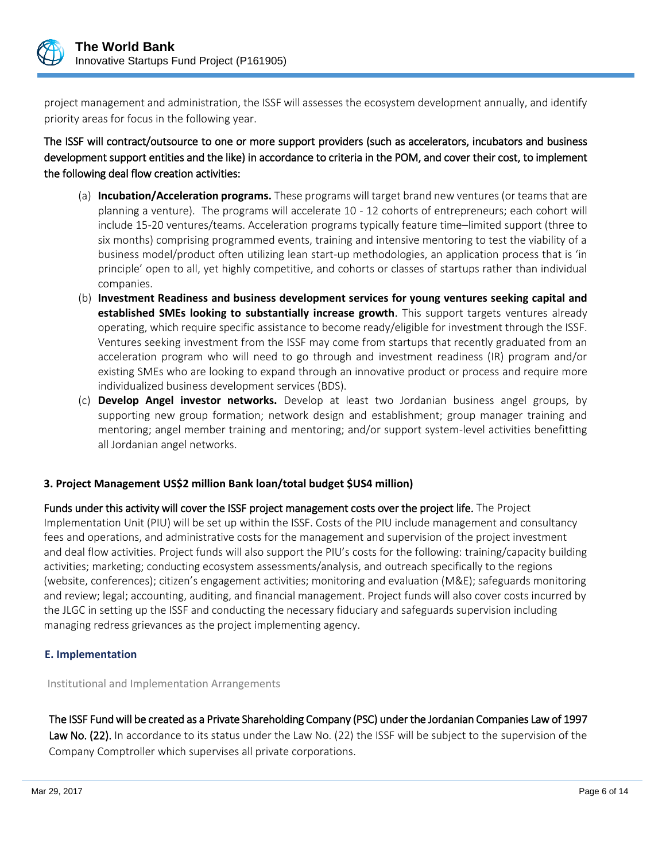

project management and administration, the ISSF will assesses the ecosystem development annually, and identify priority areas for focus in the following year.

The ISSF will contract/outsource to one or more support providers (such as accelerators, incubators and business development support entities and the like) in accordance to criteria in the POM, and cover their cost, to implement the following deal flow creation activities:

- (a) **Incubation/Acceleration programs.** These programs will target brand new ventures (or teams that are planning a venture). The programs will accelerate 10 - 12 cohorts of entrepreneurs; each cohort will include 15-20 ventures/teams. Acceleration programs typically feature time–limited support (three to six months) comprising programmed events, training and intensive mentoring to test the viability of a business model/product often utilizing lean start-up methodologies, an application process that is 'in principle' open to all, yet highly competitive, and cohorts or classes of startups rather than individual companies.
- (b) **Investment Readiness and business development services for young ventures seeking capital and established SMEs looking to substantially increase growth**. This support targets ventures already operating, which require specific assistance to become ready/eligible for investment through the ISSF. Ventures seeking investment from the ISSF may come from startups that recently graduated from an acceleration program who will need to go through and investment readiness (IR) program and/or existing SMEs who are looking to expand through an innovative product or process and require more individualized business development services (BDS).
- (c) **Develop Angel investor networks.** Develop at least two Jordanian business angel groups, by supporting new group formation; network design and establishment; group manager training and mentoring; angel member training and mentoring; and/or support system-level activities benefitting all Jordanian angel networks.

## **3. Project Management US\$2 million Bank loan/total budget \$US4 million)**

Funds under this activity will cover the ISSF project management costs over the project life. The Project Implementation Unit (PIU) will be set up within the ISSF. Costs of the PIU include management and consultancy fees and operations, and administrative costs for the management and supervision of the project investment and deal flow activities. Project funds will also support the PIU's costs for the following: training/capacity building activities; marketing; conducting ecosystem assessments/analysis, and outreach specifically to the regions (website, conferences); citizen's engagement activities; monitoring and evaluation (M&E); safeguards monitoring and review; legal; accounting, auditing, and financial management. Project funds will also cover costs incurred by the JLGC in setting up the ISSF and conducting the necessary fiduciary and safeguards supervision including managing redress grievances as the project implementing agency.

## **E. Implementation**

Institutional and Implementation Arrangements

The ISSF Fund will be created as a Private Shareholding Company (PSC) under the Jordanian Companies Law of 1997 Law No. (22). In accordance to its status under the Law No. (22) the ISSF will be subject to the supervision of the Company Comptroller which supervises all private corporations.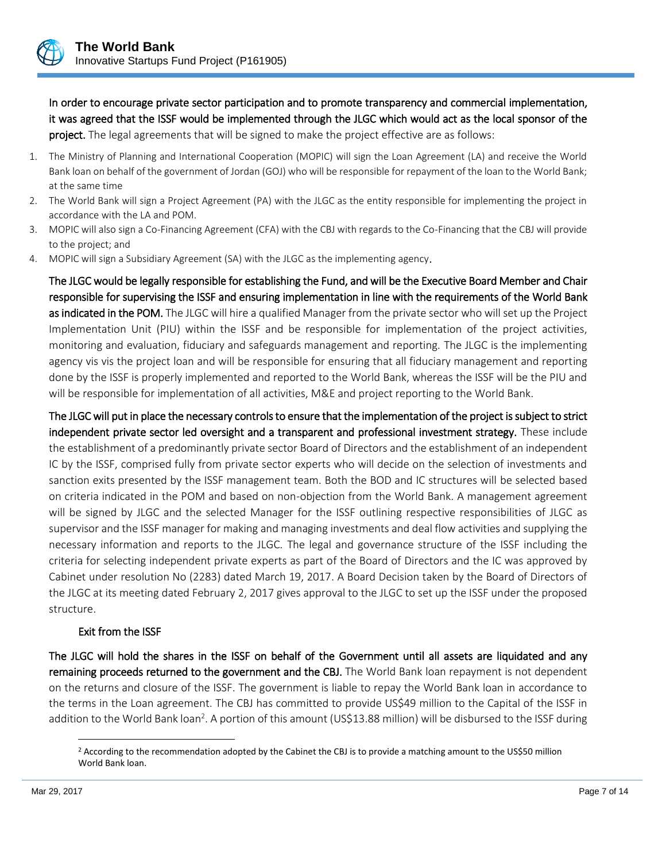

In order to encourage private sector participation and to promote transparency and commercial implementation, it was agreed that the ISSF would be implemented through the JLGC which would act as the local sponsor of the project. The legal agreements that will be signed to make the project effective are as follows:

- 1. The Ministry of Planning and International Cooperation (MOPIC) will sign the Loan Agreement (LA) and receive the World Bank loan on behalf of the government of Jordan (GOJ) who will be responsible for repayment of the loan to the World Bank; at the same time
- 2. The World Bank will sign a Project Agreement (PA) with the JLGC as the entity responsible for implementing the project in accordance with the LA and POM.
- 3. MOPIC will also sign a Co-Financing Agreement (CFA) with the CBJ with regards to the Co-Financing that the CBJ will provide to the project; and
- 4. MOPIC will sign a Subsidiary Agreement (SA) with the JLGC as the implementing agency.

The JLGC would be legally responsible for establishing the Fund, and will be the Executive Board Member and Chair responsible for supervising the ISSF and ensuring implementation in line with the requirements of the World Bank as indicated in the POM. The JLGC will hire a qualified Manager from the private sector who will set up the Project Implementation Unit (PIU) within the ISSF and be responsible for implementation of the project activities, monitoring and evaluation, fiduciary and safeguards management and reporting. The JLGC is the implementing agency vis vis the project loan and will be responsible for ensuring that all fiduciary management and reporting done by the ISSF is properly implemented and reported to the World Bank, whereas the ISSF will be the PIU and will be responsible for implementation of all activities, M&E and project reporting to the World Bank.

The JLGC will put in place the necessary controls to ensure that the implementation of the project is subject to strict independent private sector led oversight and a transparent and professional investment strategy. These include the establishment of a predominantly private sector Board of Directors and the establishment of an independent IC by the ISSF, comprised fully from private sector experts who will decide on the selection of investments and sanction exits presented by the ISSF management team. Both the BOD and IC structures will be selected based on criteria indicated in the POM and based on non-objection from the World Bank. A management agreement will be signed by JLGC and the selected Manager for the ISSF outlining respective responsibilities of JLGC as supervisor and the ISSF manager for making and managing investments and deal flow activities and supplying the necessary information and reports to the JLGC. The legal and governance structure of the ISSF including the criteria for selecting independent private experts as part of the Board of Directors and the IC was approved by Cabinet under resolution No (2283) dated March 19, 2017. A Board Decision taken by the Board of Directors of the JLGC at its meeting dated February 2, 2017 gives approval to the JLGC to set up the ISSF under the proposed structure.

## Exit from the ISSF

The JLGC will hold the shares in the ISSF on behalf of the Government until all assets are liquidated and any remaining proceeds returned to the government and the CBJ. The World Bank loan repayment is not dependent on the returns and closure of the ISSF. The government is liable to repay the World Bank loan in accordance to the terms in the Loan agreement. The CBJ has committed to provide US\$49 million to the Capital of the ISSF in addition to the World Bank loan<sup>2</sup>. A portion of this amount (US\$13.88 million) will be disbursed to the ISSF during

 $\overline{a}$ 

<sup>&</sup>lt;sup>2</sup> According to the recommendation adopted by the Cabinet the CBJ is to provide a matching amount to the US\$50 million World Bank loan.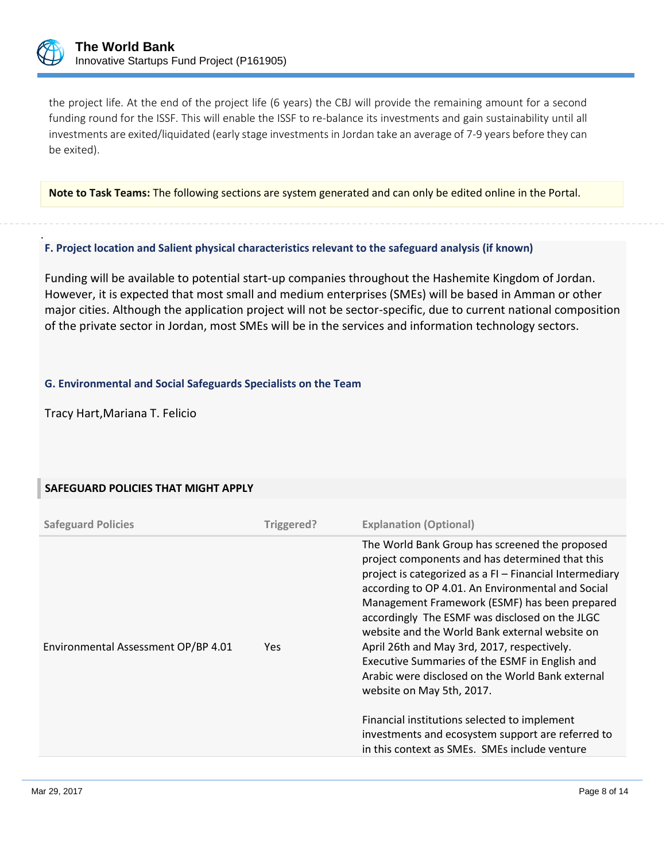

.

the project life. At the end of the project life (6 years) the CBJ will provide the remaining amount for a second funding round for the ISSF. This will enable the ISSF to re-balance its investments and gain sustainability until all investments are exited/liquidated (early stage investments in Jordan take an average of 7-9 years before they can be exited).

**Note to Task Teams:** The following sections are system generated and can only be edited online in the Portal.

## **F. Project location and Salient physical characteristics relevant to the safeguard analysis (if known)**

Funding will be available to potential start-up companies throughout the Hashemite Kingdom of Jordan. However, it is expected that most small and medium enterprises (SMEs) will be based in Amman or other major cities. Although the application project will not be sector-specific, due to current national composition of the private sector in Jordan, most SMEs will be in the services and information technology sectors.

## **G. Environmental and Social Safeguards Specialists on the Team**

Tracy Hart,Mariana T. Felicio

## **SAFEGUARD POLICIES THAT MIGHT APPLY**

| <b>Safeguard Policies</b>           | Triggered? | <b>Explanation (Optional)</b>                                                                                                                                                                                                                                                                                                                                                                                                                                                                                                                                                                                                                                                                                  |
|-------------------------------------|------------|----------------------------------------------------------------------------------------------------------------------------------------------------------------------------------------------------------------------------------------------------------------------------------------------------------------------------------------------------------------------------------------------------------------------------------------------------------------------------------------------------------------------------------------------------------------------------------------------------------------------------------------------------------------------------------------------------------------|
| Environmental Assessment OP/BP 4.01 | Yes.       | The World Bank Group has screened the proposed<br>project components and has determined that this<br>project is categorized as a FI - Financial Intermediary<br>according to OP 4.01. An Environmental and Social<br>Management Framework (ESMF) has been prepared<br>accordingly The ESMF was disclosed on the JLGC<br>website and the World Bank external website on<br>April 26th and May 3rd, 2017, respectively.<br>Executive Summaries of the ESMF in English and<br>Arabic were disclosed on the World Bank external<br>website on May 5th, 2017.<br>Financial institutions selected to implement<br>investments and ecosystem support are referred to<br>in this context as SMEs. SMEs include venture |
|                                     |            |                                                                                                                                                                                                                                                                                                                                                                                                                                                                                                                                                                                                                                                                                                                |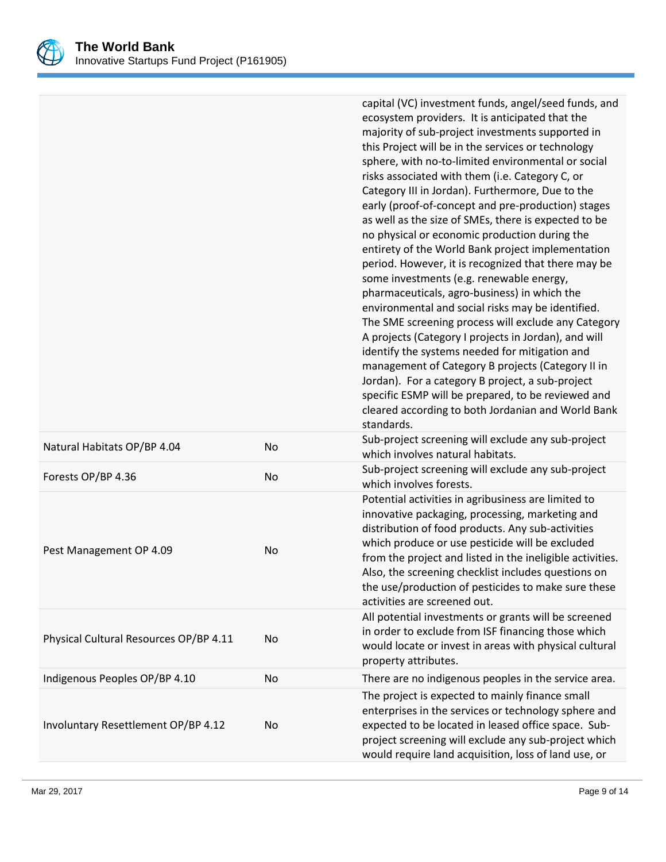

|                                        |           | capital (VC) investment funds, angel/seed funds, and<br>ecosystem providers. It is anticipated that the<br>majority of sub-project investments supported in<br>this Project will be in the services or technology<br>sphere, with no-to-limited environmental or social<br>risks associated with them (i.e. Category C, or<br>Category III in Jordan). Furthermore, Due to the<br>early (proof-of-concept and pre-production) stages<br>as well as the size of SMEs, there is expected to be<br>no physical or economic production during the<br>entirety of the World Bank project implementation<br>period. However, it is recognized that there may be<br>some investments (e.g. renewable energy,<br>pharmaceuticals, agro-business) in which the<br>environmental and social risks may be identified.<br>The SME screening process will exclude any Category<br>A projects (Category I projects in Jordan), and will<br>identify the systems needed for mitigation and<br>management of Category B projects (Category II in<br>Jordan). For a category B project, a sub-project<br>specific ESMP will be prepared, to be reviewed and<br>cleared according to both Jordanian and World Bank<br>standards. |
|----------------------------------------|-----------|----------------------------------------------------------------------------------------------------------------------------------------------------------------------------------------------------------------------------------------------------------------------------------------------------------------------------------------------------------------------------------------------------------------------------------------------------------------------------------------------------------------------------------------------------------------------------------------------------------------------------------------------------------------------------------------------------------------------------------------------------------------------------------------------------------------------------------------------------------------------------------------------------------------------------------------------------------------------------------------------------------------------------------------------------------------------------------------------------------------------------------------------------------------------------------------------------------------|
| Natural Habitats OP/BP 4.04            | <b>No</b> | Sub-project screening will exclude any sub-project<br>which involves natural habitats.                                                                                                                                                                                                                                                                                                                                                                                                                                                                                                                                                                                                                                                                                                                                                                                                                                                                                                                                                                                                                                                                                                                         |
| Forests OP/BP 4.36                     | <b>No</b> | Sub-project screening will exclude any sub-project<br>which involves forests.                                                                                                                                                                                                                                                                                                                                                                                                                                                                                                                                                                                                                                                                                                                                                                                                                                                                                                                                                                                                                                                                                                                                  |
| Pest Management OP 4.09                | <b>No</b> | Potential activities in agribusiness are limited to<br>innovative packaging, processing, marketing and<br>distribution of food products. Any sub-activities<br>which produce or use pesticide will be excluded<br>from the project and listed in the ineligible activities.<br>Also, the screening checklist includes questions on<br>the use/production of pesticides to make sure these<br>activities are screened out.                                                                                                                                                                                                                                                                                                                                                                                                                                                                                                                                                                                                                                                                                                                                                                                      |
| Physical Cultural Resources OP/BP 4.11 | <b>No</b> | All potential investments or grants will be screened<br>in order to exclude from ISF financing those which<br>would locate or invest in areas with physical cultural<br>property attributes.                                                                                                                                                                                                                                                                                                                                                                                                                                                                                                                                                                                                                                                                                                                                                                                                                                                                                                                                                                                                                   |
| Indigenous Peoples OP/BP 4.10          | <b>No</b> | There are no indigenous peoples in the service area.                                                                                                                                                                                                                                                                                                                                                                                                                                                                                                                                                                                                                                                                                                                                                                                                                                                                                                                                                                                                                                                                                                                                                           |
| Involuntary Resettlement OP/BP 4.12    | No        | The project is expected to mainly finance small<br>enterprises in the services or technology sphere and<br>expected to be located in leased office space. Sub-<br>project screening will exclude any sub-project which<br>would require land acquisition, loss of land use, or                                                                                                                                                                                                                                                                                                                                                                                                                                                                                                                                                                                                                                                                                                                                                                                                                                                                                                                                 |
|                                        |           |                                                                                                                                                                                                                                                                                                                                                                                                                                                                                                                                                                                                                                                                                                                                                                                                                                                                                                                                                                                                                                                                                                                                                                                                                |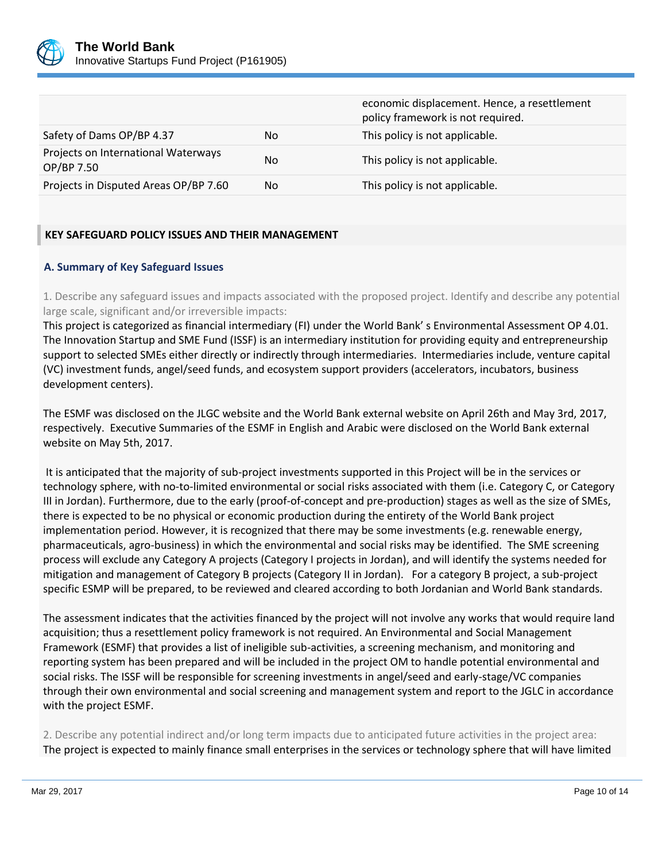

|                                                   |     | economic displacement. Hence, a resettlement<br>policy framework is not required. |
|---------------------------------------------------|-----|-----------------------------------------------------------------------------------|
| Safety of Dams OP/BP 4.37                         | No. | This policy is not applicable.                                                    |
| Projects on International Waterways<br>OP/BP 7.50 | No  | This policy is not applicable.                                                    |
| Projects in Disputed Areas OP/BP 7.60             | No. | This policy is not applicable.                                                    |

## **KEY SAFEGUARD POLICY ISSUES AND THEIR MANAGEMENT**

## **A. Summary of Key Safeguard Issues**

1. Describe any safeguard issues and impacts associated with the proposed project. Identify and describe any potential large scale, significant and/or irreversible impacts:

This project is categorized as financial intermediary (FI) under the World Bank' s Environmental Assessment OP 4.01. The Innovation Startup and SME Fund (ISSF) is an intermediary institution for providing equity and entrepreneurship support to selected SMEs either directly or indirectly through intermediaries. Intermediaries include, venture capital (VC) investment funds, angel/seed funds, and ecosystem support providers (accelerators, incubators, business development centers).

The ESMF was disclosed on the JLGC website and the World Bank external website on April 26th and May 3rd, 2017, respectively. Executive Summaries of the ESMF in English and Arabic were disclosed on the World Bank external website on May 5th, 2017.

It is anticipated that the majority of sub-project investments supported in this Project will be in the services or technology sphere, with no-to-limited environmental or social risks associated with them (i.e. Category C, or Category III in Jordan). Furthermore, due to the early (proof-of-concept and pre-production) stages as well as the size of SMEs, there is expected to be no physical or economic production during the entirety of the World Bank project implementation period. However, it is recognized that there may be some investments (e.g. renewable energy, pharmaceuticals, agro-business) in which the environmental and social risks may be identified. The SME screening process will exclude any Category A projects (Category I projects in Jordan), and will identify the systems needed for mitigation and management of Category B projects (Category II in Jordan). For a category B project, a sub-project specific ESMP will be prepared, to be reviewed and cleared according to both Jordanian and World Bank standards.

The assessment indicates that the activities financed by the project will not involve any works that would require land acquisition; thus a resettlement policy framework is not required. An Environmental and Social Management Framework (ESMF) that provides a list of ineligible sub-activities, a screening mechanism, and monitoring and reporting system has been prepared and will be included in the project OM to handle potential environmental and social risks. The ISSF will be responsible for screening investments in angel/seed and early-stage/VC companies through their own environmental and social screening and management system and report to the JGLC in accordance with the project ESMF.

2. Describe any potential indirect and/or long term impacts due to anticipated future activities in the project area: The project is expected to mainly finance small enterprises in the services or technology sphere that will have limited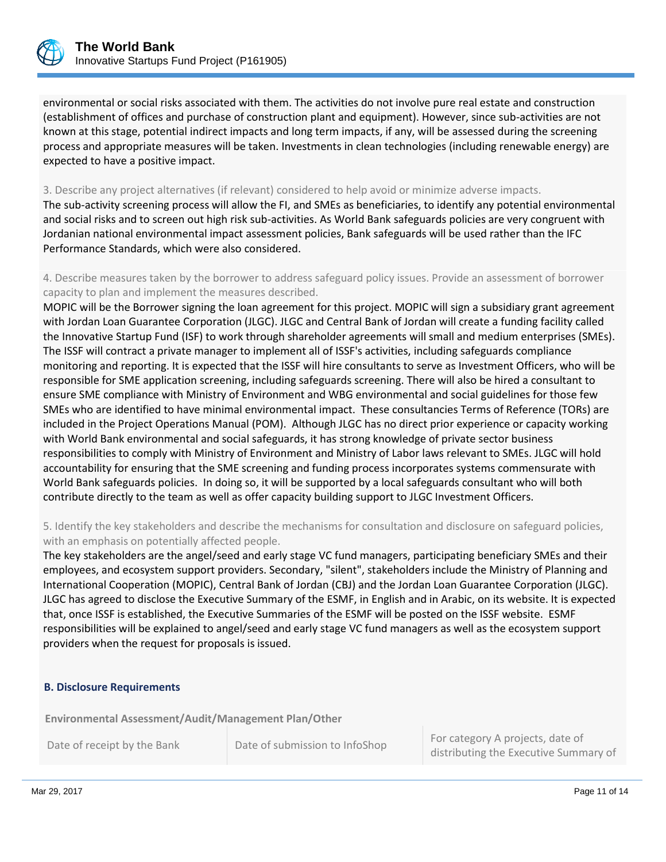

environmental or social risks associated with them. The activities do not involve pure real estate and construction (establishment of offices and purchase of construction plant and equipment). However, since sub-activities are not known at this stage, potential indirect impacts and long term impacts, if any, will be assessed during the screening process and appropriate measures will be taken. Investments in clean technologies (including renewable energy) are expected to have a positive impact.

#### 3. Describe any project alternatives (if relevant) considered to help avoid or minimize adverse impacts.

The sub-activity screening process will allow the FI, and SMEs as beneficiaries, to identify any potential environmental and social risks and to screen out high risk sub-activities. As World Bank safeguards policies are very congruent with Jordanian national environmental impact assessment policies, Bank safeguards will be used rather than the IFC Performance Standards, which were also considered.

4. Describe measures taken by the borrower to address safeguard policy issues. Provide an assessment of borrower capacity to plan and implement the measures described.

MOPIC will be the Borrower signing the loan agreement for this project. MOPIC will sign a subsidiary grant agreement with Jordan Loan Guarantee Corporation (JLGC). JLGC and Central Bank of Jordan will create a funding facility called the Innovative Startup Fund (ISF) to work through shareholder agreements will small and medium enterprises (SMEs). The ISSF will contract a private manager to implement all of ISSF's activities, including safeguards compliance monitoring and reporting. It is expected that the ISSF will hire consultants to serve as Investment Officers, who will be responsible for SME application screening, including safeguards screening. There will also be hired a consultant to ensure SME compliance with Ministry of Environment and WBG environmental and social guidelines for those few SMEs who are identified to have minimal environmental impact. These consultancies Terms of Reference (TORs) are included in the Project Operations Manual (POM). Although JLGC has no direct prior experience or capacity working with World Bank environmental and social safeguards, it has strong knowledge of private sector business responsibilities to comply with Ministry of Environment and Ministry of Labor laws relevant to SMEs. JLGC will hold accountability for ensuring that the SME screening and funding process incorporates systems commensurate with World Bank safeguards policies. In doing so, it will be supported by a local safeguards consultant who will both contribute directly to the team as well as offer capacity building support to JLGC Investment Officers.

## 5. Identify the key stakeholders and describe the mechanisms for consultation and disclosure on safeguard policies, with an emphasis on potentially affected people.

The key stakeholders are the angel/seed and early stage VC fund managers, participating beneficiary SMEs and their employees, and ecosystem support providers. Secondary, "silent", stakeholders include the Ministry of Planning and International Cooperation (MOPIC), Central Bank of Jordan (CBJ) and the Jordan Loan Guarantee Corporation (JLGC). JLGC has agreed to disclose the Executive Summary of the ESMF, in English and in Arabic, on its website. It is expected that, once ISSF is established, the Executive Summaries of the ESMF will be posted on the ISSF website. ESMF responsibilities will be explained to angel/seed and early stage VC fund managers as well as the ecosystem support providers when the request for proposals is issued.

#### **B. Disclosure Requirements**

**Environmental Assessment/Audit/Management Plan/Other** 

Date of receipt by the Bank Date of submission to InfoShop For category A projects, date of distributing the Executive Summary of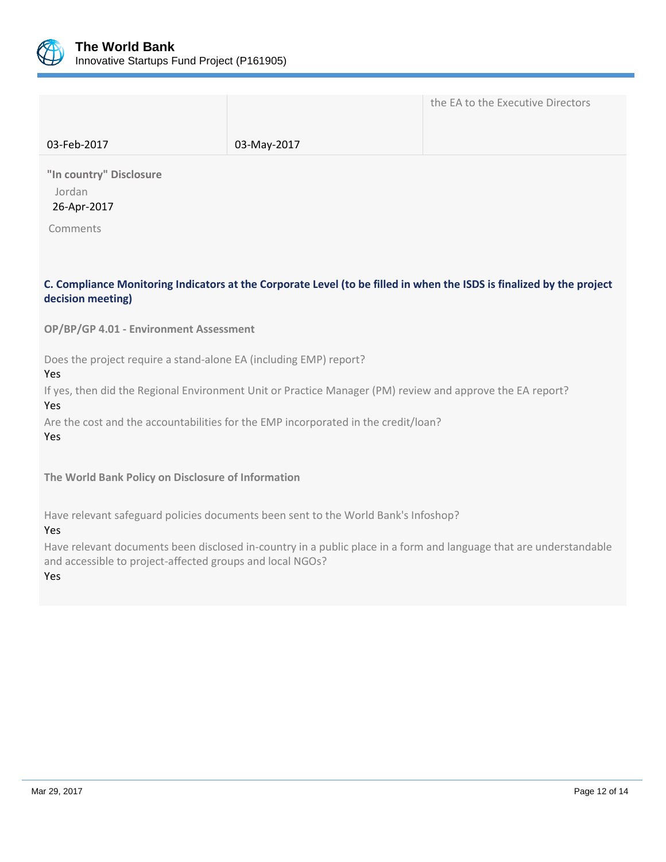

|             |             | the EA to the Executive Directors |
|-------------|-------------|-----------------------------------|
| 03-Feb-2017 | 03-May-2017 |                                   |

**"In country" Disclosure** Jordan 26-Apr-2017

Comments

## **C. Compliance Monitoring Indicators at the Corporate Level (to be filled in when the ISDS is finalized by the project decision meeting)**

**OP/BP/GP 4.01 - Environment Assessment** 

Does the project require a stand-alone EA (including EMP) report?

Yes

If yes, then did the Regional Environment Unit or Practice Manager (PM) review and approve the EA report?

Yes

Are the cost and the accountabilities for the EMP incorporated in the credit/loan?

Yes

**The World Bank Policy on Disclosure of Information**

Have relevant safeguard policies documents been sent to the World Bank's Infoshop?

Yes

Have relevant documents been disclosed in-country in a public place in a form and language that are understandable and accessible to project-affected groups and local NGOs?

Yes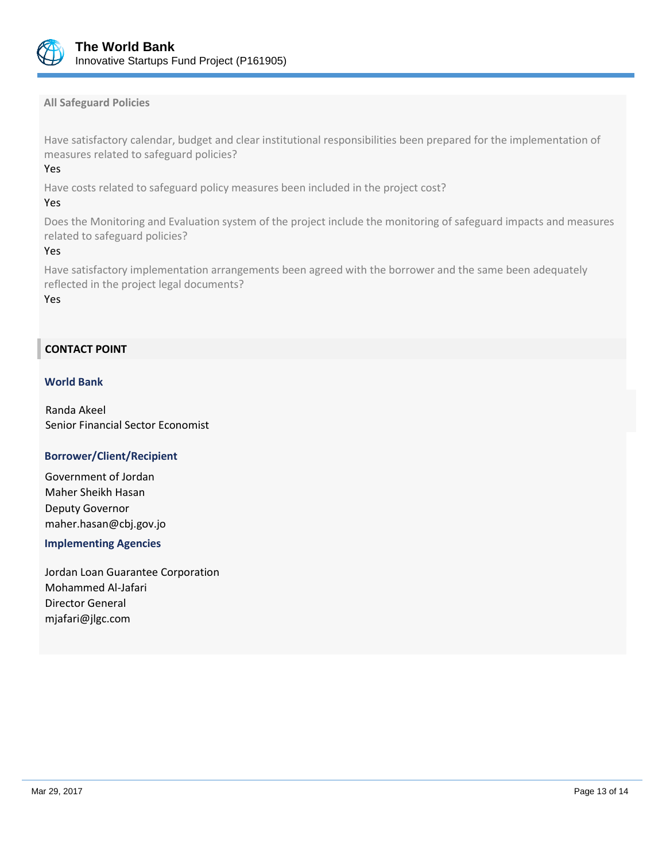

### **All Safeguard Policies**

Have satisfactory calendar, budget and clear institutional responsibilities been prepared for the implementation of measures related to safeguard policies?

### Yes

Have costs related to safeguard policy measures been included in the project cost?

#### Yes

Does the Monitoring and Evaluation system of the project include the monitoring of safeguard impacts and measures related to safeguard policies?

#### Yes

Have satisfactory implementation arrangements been agreed with the borrower and the same been adequately reflected in the project legal documents?

Yes

## **CONTACT POINT**

#### **World Bank**

Randa Akeel Senior Financial Sector Economist

### **Borrower/Client/Recipient**

Government of Jordan Maher Sheikh Hasan Deputy Governor maher.hasan@cbj.gov.jo

### **Implementing Agencies**

Jordan Loan Guarantee Corporation Mohammed Al-Jafari Director General mjafari@jlgc.com